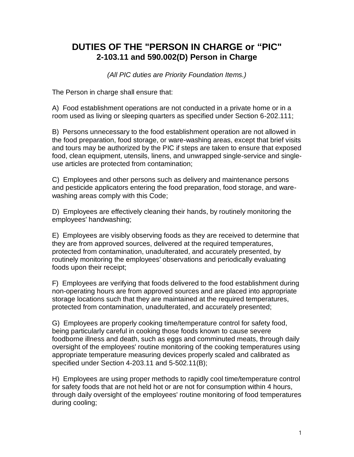## **DUTIES OF THE "PERSON IN CHARGE or "PIC" 2-103.11 and 590.002(D) Person in Charge**

*(All PIC duties are Priority Foundation Items.)*

The Person in charge shall ensure that:

A) Food establishment operations are not conducted in a private home or in a room used as living or sleeping quarters as specified under Section 6-202.111;

B) Persons unnecessary to the food establishment operation are not allowed in the food preparation, food storage, or ware-washing areas, except that brief visits and tours may be authorized by the PIC if steps are taken to ensure that exposed food, clean equipment, utensils, linens, and unwrapped single-service and singleuse articles are protected from contamination;

C) Employees and other persons such as delivery and maintenance persons and pesticide applicators entering the food preparation, food storage, and warewashing areas comply with this Code;

D) Employees are effectively cleaning their hands, by routinely monitoring the employees' handwashing;

E) Employees are visibly observing foods as they are received to determine that they are from approved sources, delivered at the required temperatures, protected from contamination, unadulterated, and accurately presented, by routinely monitoring the employees' observations and periodically evaluating foods upon their receipt;

F) Employees are verifying that foods delivered to the food establishment during non-operating hours are from approved sources and are placed into appropriate storage locations such that they are maintained at the required temperatures, protected from contamination, unadulterated, and accurately presented;

G) Employees are properly cooking time/temperature control for safety food, being particularly careful in cooking those foods known to cause severe foodborne illness and death, such as eggs and comminuted meats, through daily oversight of the employees' routine monitoring of the cooking temperatures using appropriate temperature measuring devices properly scaled and calibrated as specified under Section 4-203.11 and 5-502.11(B);

H) Employees are using proper methods to rapidly cool time/temperature control for safety foods that are not held hot or are not for consumption within 4 hours, through daily oversight of the employees' routine monitoring of food temperatures during cooling;